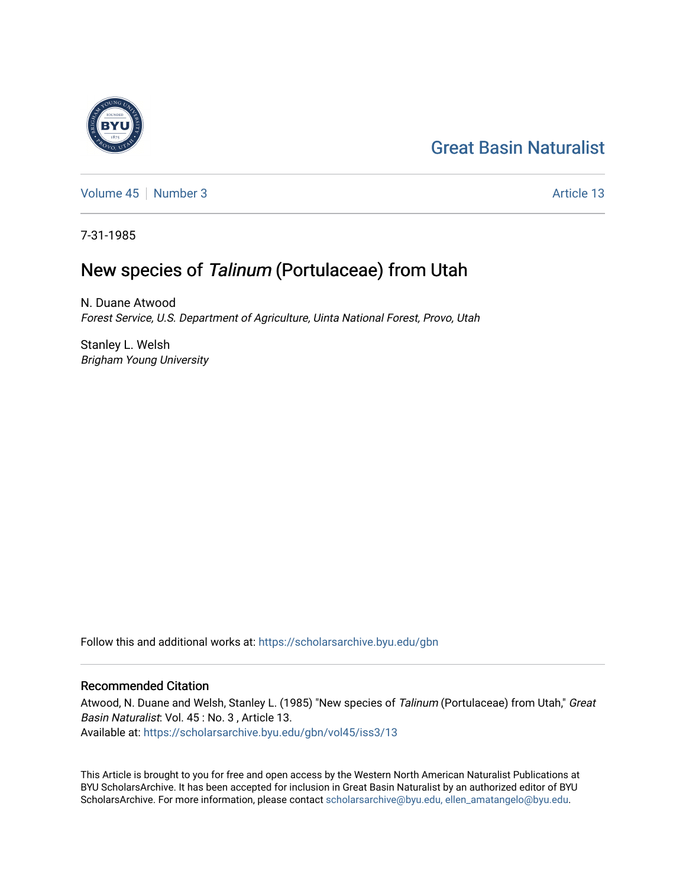# [Great Basin Naturalist](https://scholarsarchive.byu.edu/gbn)

[Volume 45](https://scholarsarchive.byu.edu/gbn/vol45) [Number 3](https://scholarsarchive.byu.edu/gbn/vol45/iss3) Article 13

7-31-1985

## New species of Talinum (Portulaceae) from Utah

N. Duane Atwood Forest Service, U.S. Department of Agriculture, Uinta National Forest, Provo, Utah

Stanley L. Welsh Brigham Young University

Follow this and additional works at: [https://scholarsarchive.byu.edu/gbn](https://scholarsarchive.byu.edu/gbn?utm_source=scholarsarchive.byu.edu%2Fgbn%2Fvol45%2Fiss3%2F13&utm_medium=PDF&utm_campaign=PDFCoverPages) 

### Recommended Citation

Atwood, N. Duane and Welsh, Stanley L. (1985) "New species of Talinum (Portulaceae) from Utah," Great Basin Naturalist: Vol. 45 : No. 3 , Article 13. Available at: [https://scholarsarchive.byu.edu/gbn/vol45/iss3/13](https://scholarsarchive.byu.edu/gbn/vol45/iss3/13?utm_source=scholarsarchive.byu.edu%2Fgbn%2Fvol45%2Fiss3%2F13&utm_medium=PDF&utm_campaign=PDFCoverPages) 

This Article is brought to you for free and open access by the Western North American Naturalist Publications at BYU ScholarsArchive. It has been accepted for inclusion in Great Basin Naturalist by an authorized editor of BYU ScholarsArchive. For more information, please contact [scholarsarchive@byu.edu, ellen\\_amatangelo@byu.edu.](mailto:scholarsarchive@byu.edu,%20ellen_amatangelo@byu.edu)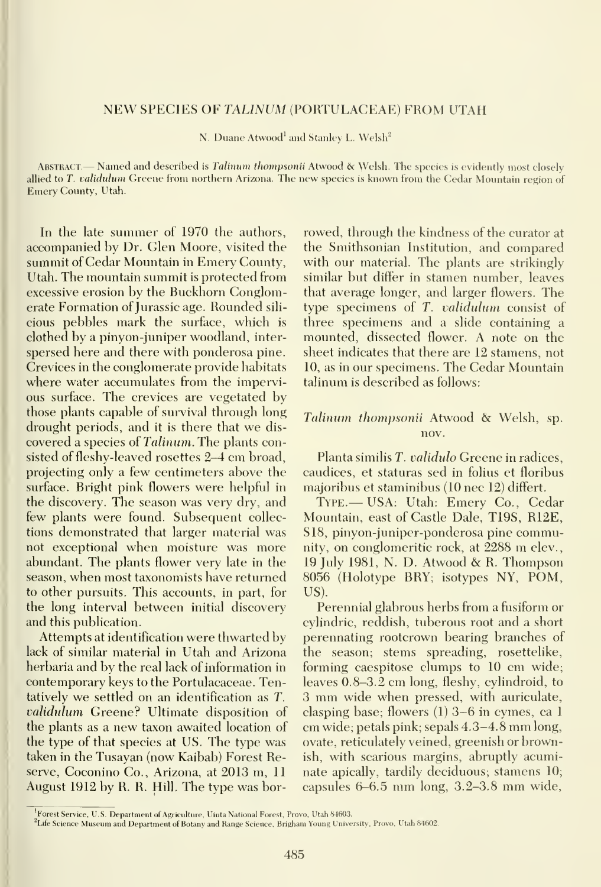#### NEW SPECIES OF TALINUM (PORTULACEAE) FROM UTAH

N. Duane Atwood' and Stanley L. Welsh"

ABSTRACT — Named and described is Talinum thompsonii Atwood & Welsh. The species is evidently most closely allied to T. validulum Greene from northern Arizona. The new species is known from the Cedar Mountain region of Emerv County, Utah.

In the late summer of 1970 the authors, accompanied by Dr. Glen Moore, visited the summit of Cedar Mountain in Emery County, Utah. The mountain summit is protected fiom excessive erosion by the Buckhorn Conglomerate Formation of Jurassic age. Rounded sili cious pebbles mark the surface, which isclothed by a pinyon-juniper woodland, inter spersed here and there with ponderosa pine. Crevices in the conglomerate provide habitats where water accumulates from the impervious surface. The crevices are vegetated by those plants capable of survival through long drought periods, and it is there that we dis covered a species of Talinum. The plants consisted of fleshy-leaved rosettes 2-4 cm broad, projecting only a few centimeters above the surface. Bright pink flowers were helpful in the discovery. The season was very dry, and few plants were found. Subsequent collections demonstrated that larger material was not exceptional when moisture was more abundant. The plants flower very late in the season, when most taxonomists have returned to other pursuits. This accounts, in part, for the long interval between initial discovery and this publication.

Attempts at identification were thwarted by lack of similar material in Utah and Arizona herbaria and by the real lack of information in contemporary keys to the Portulacaceae. Tentatively we settled on an identification as T. validulum Greene? Ultimate disposition of the plants as <sup>a</sup> new taxon awaited location of the type of that species at US. The type was taken in the Tusayan (now Kaibab) Forest Reserve, Coconino Co., Arizona, at 2013 m, 11 August 1912 by R. R. Hill. The type was borrowed, through the kindness of the curator at the Smithsonian Institution, and compared with our material. The plants are strikingly similar but differ in stamen number, leaves that average longer, and larger flowers. The type specimens of  $T$ . validulum consist of three specimens and a slide containing a mounted, dissected flower. A note on the sheet indicates that there are 12 stamens, not 10, as in our specimens. The Cedar Mountain talinum is described as follows:

#### Talimim thompsonii Atwood & Welsh, sp. nov.

Planta similis T. validulo Greene in radices, caudices, et staturas sed in folius et floribus majoribus et staminibus (10 nee 12) differt.

Type.— USA: Utah: Emery Co., Cedar Mountain, east of Castle Dale, T19S, R12E, S18, pinyon-juniper-ponderosa pine community, on conglomeritic rock, at <sup>2288</sup> m elev., <sup>19</sup> July 1981, N. D. Atwood & R. Thompson 8056 (Holotype BRY; isotypes NY, POM, US).

Perennial glabrous herbs from a fusiform or cylindric, reddish, tuberous root and a short perennating rootcrown bearing branches of the season; stems spreading, rosettelike, forming caespitose clumps to 10 cm wide; leaves 0.8-3.2 cm long, fleshy, cylindroid, to <sup>3</sup> mm wide when pressed, with auriculate, clasping base; flowers (1) 3-6 in cymes, ca <sup>1</sup> cm wide; petals pink; sepals 4.3-4.8 mm long, ovate, reticulately veined, greenish or brownish, with scarious margins, abruptly acuminate apically, tardily deciduous; stamens 10; capsules 6-6.5 mm long, 3.2-3.8 mm wide,

<sup>&</sup>lt;sup>1</sup>Forest Service, U.S. Department of Agriculture, Uinta National Forest, Provo, Utah 84603.

<sup>&</sup>lt;sup>2</sup>Life Science Museum and Department of Botany and Range Science, Brigham Young University, Provo, Utah 84602.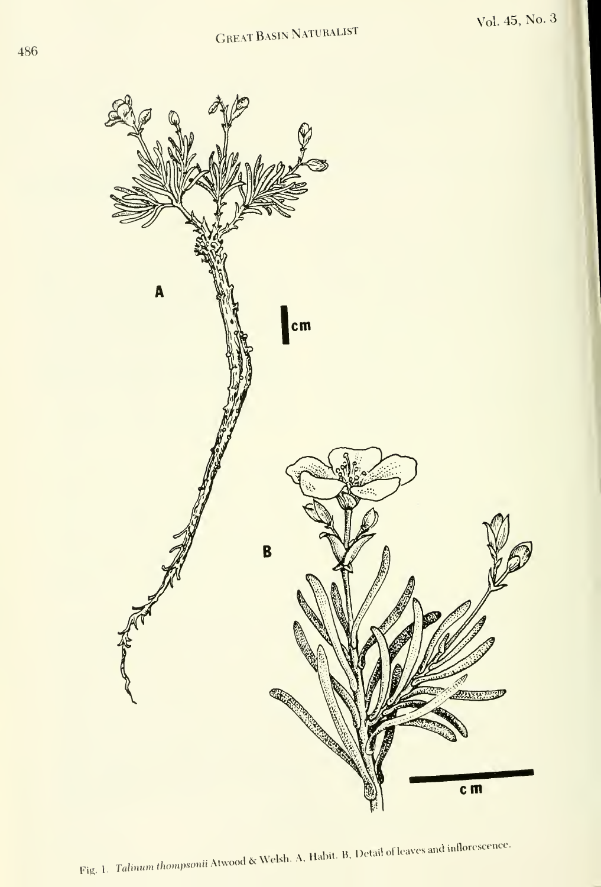